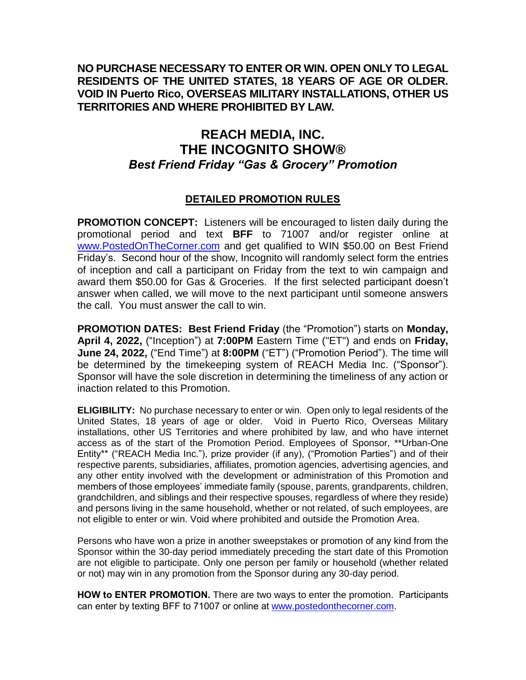## **NO PURCHASE NECESSARY TO ENTER OR WIN. OPEN ONLY TO LEGAL RESIDENTS OF THE UNITED STATES, 18 YEARS OF AGE OR OLDER. VOID IN Puerto Rico, OVERSEAS MILITARY INSTALLATIONS, OTHER US TERRITORIES AND WHERE PROHIBITED BY LAW.**

## **REACH MEDIA, INC. THE INCOGNITO SHOW®** *Best Friend Friday "Gas & Grocery" Promotion*

## **DETAILED PROMOTION RULES**

**PROMOTION CONCEPT:** Listeners will be encouraged to listen daily during the promotional period and text **BFF** to 71007 and/or register online at [www.PostedOnTheCorner.com](http://www.postedonthecorner.com/) and get qualified to WIN \$50.00 on Best Friend Friday's. Second hour of the show, Incognito will randomly select form the entries of inception and call a participant on Friday from the text to win campaign and award them \$50.00 for Gas & Groceries. If the first selected participant doesn't answer when called, we will move to the next participant until someone answers the call. You must answer the call to win.

**PROMOTION DATES: Best Friend Friday** (the "Promotion") starts on **Monday, April 4, 2022,** ("Inception") at **7:00PM** Eastern Time ("ET") and ends on **Friday, June 24, 2022,** ("End Time") at **8:00PM** ("ET") ("Promotion Period"). The time will be determined by the timekeeping system of REACH Media Inc. ("Sponsor"). Sponsor will have the sole discretion in determining the timeliness of any action or inaction related to this Promotion.

**ELIGIBILITY:** No purchase necessary to enter or win. Open only to legal residents of the United States, 18 years of age or older. Void in Puerto Rico, Overseas Military installations, other US Territories and where prohibited by law, and who have internet access as of the start of the Promotion Period. Employees of Sponsor, \*\*Urban-One Entity\*\* ("REACH Media Inc."), prize provider (if any), ("Promotion Parties") and of their respective parents, subsidiaries, affiliates, promotion agencies, advertising agencies, and any other entity involved with the development or administration of this Promotion and members of those employees' immediate family (spouse, parents, grandparents, children, grandchildren, and siblings and their respective spouses, regardless of where they reside) and persons living in the same household, whether or not related, of such employees, are not eligible to enter or win. Void where prohibited and outside the Promotion Area.

Persons who have won a prize in another sweepstakes or promotion of any kind from the Sponsor within the 30-day period immediately preceding the start date of this Promotion are not eligible to participate. Only one person per family or household (whether related or not) may win in any promotion from the Sponsor during any 30-day period.

**HOW to ENTER PROMOTION.** There are two ways to enter the promotion. Participants can enter by texting BFF to 71007 or online at [www.postedonthecorner.com.](http://www.postedonthecorner.com/)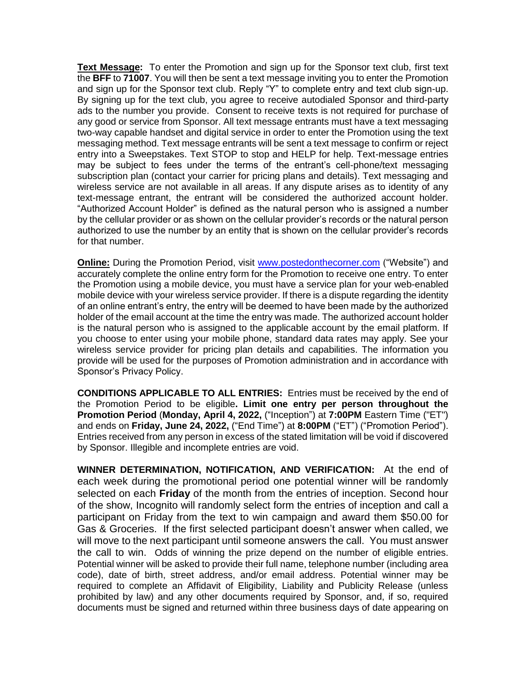**Text Message:** To enter the Promotion and sign up for the Sponsor text club, first text the **BFF** to **71007**. You will then be sent a text message inviting you to enter the Promotion and sign up for the Sponsor text club. Reply "Y" to complete entry and text club sign-up. By signing up for the text club, you agree to receive autodialed Sponsor and third-party ads to the number you provide. Consent to receive texts is not required for purchase of any good or service from Sponsor. All text message entrants must have a text messaging two-way capable handset and digital service in order to enter the Promotion using the text messaging method. Text message entrants will be sent a text message to confirm or reject entry into a Sweepstakes. Text STOP to stop and HELP for help. Text-message entries may be subject to fees under the terms of the entrant's cell-phone/text messaging subscription plan (contact your carrier for pricing plans and details). Text messaging and wireless service are not available in all areas. If any dispute arises as to identity of any text-message entrant, the entrant will be considered the authorized account holder. "Authorized Account Holder" is defined as the natural person who is assigned a number by the cellular provider or as shown on the cellular provider's records or the natural person authorized to use the number by an entity that is shown on the cellular provider's records for that number.

**Online:** During the Promotion Period, visit [www.postedonthecorner.com](http://www.postedonthecorner.com/) ("Website") and accurately complete the online entry form for the Promotion to receive one entry. To enter the Promotion using a mobile device, you must have a service plan for your web-enabled mobile device with your wireless service provider. If there is a dispute regarding the identity of an online entrant's entry, the entry will be deemed to have been made by the authorized holder of the email account at the time the entry was made. The authorized account holder is the natural person who is assigned to the applicable account by the email platform. If you choose to enter using your mobile phone, standard data rates may apply. See your wireless service provider for pricing plan details and capabilities. The information you provide will be used for the purposes of Promotion administration and in accordance with Sponsor's Privacy Policy.

**CONDITIONS APPLICABLE TO ALL ENTRIES:** Entries must be received by the end of the Promotion Period to be eligible**. Limit one entry per person throughout the Promotion Period** (**Monday, April 4, 2022,** ("Inception") at **7:00PM** Eastern Time ("ET") and ends on **Friday, June 24, 2022,** ("End Time") at **8:00PM** ("ET") ("Promotion Period"). Entries received from any person in excess of the stated limitation will be void if discovered by Sponsor. Illegible and incomplete entries are void.

**WINNER DETERMINATION, NOTIFICATION, AND VERIFICATION:** At the end of each week during the promotional period one potential winner will be randomly selected on each **Friday** of the month from the entries of inception. Second hour of the show, Incognito will randomly select form the entries of inception and call a participant on Friday from the text to win campaign and award them \$50.00 for Gas & Groceries. If the first selected participant doesn't answer when called, we will move to the next participant until someone answers the call. You must answer the call to win. Odds of winning the prize depend on the number of eligible entries. Potential winner will be asked to provide their full name, telephone number (including area code), date of birth, street address, and/or email address. Potential winner may be required to complete an Affidavit of Eligibility, Liability and Publicity Release (unless prohibited by law) and any other documents required by Sponsor, and, if so, required documents must be signed and returned within three business days of date appearing on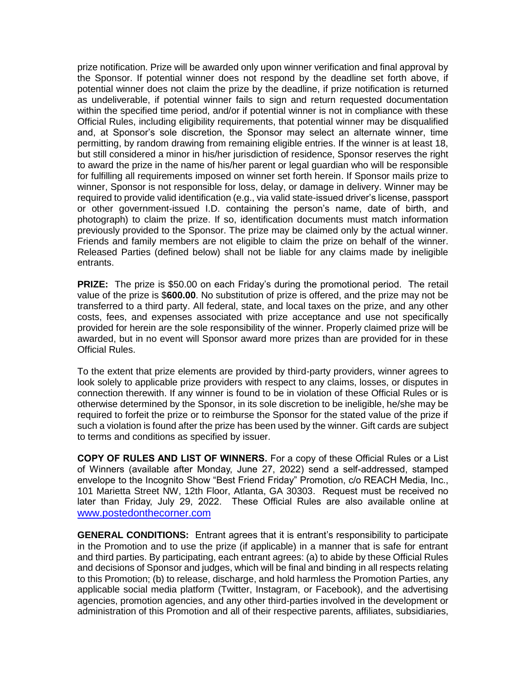prize notification. Prize will be awarded only upon winner verification and final approval by the Sponsor. If potential winner does not respond by the deadline set forth above, if potential winner does not claim the prize by the deadline, if prize notification is returned as undeliverable, if potential winner fails to sign and return requested documentation within the specified time period, and/or if potential winner is not in compliance with these Official Rules, including eligibility requirements, that potential winner may be disqualified and, at Sponsor's sole discretion, the Sponsor may select an alternate winner, time permitting, by random drawing from remaining eligible entries. If the winner is at least 18, but still considered a minor in his/her jurisdiction of residence, Sponsor reserves the right to award the prize in the name of his/her parent or legal guardian who will be responsible for fulfilling all requirements imposed on winner set forth herein. If Sponsor mails prize to winner, Sponsor is not responsible for loss, delay, or damage in delivery. Winner may be required to provide valid identification (e.g., via valid state-issued driver's license, passport or other government-issued I.D. containing the person's name, date of birth, and photograph) to claim the prize. If so, identification documents must match information previously provided to the Sponsor. The prize may be claimed only by the actual winner. Friends and family members are not eligible to claim the prize on behalf of the winner. Released Parties (defined below) shall not be liable for any claims made by ineligible entrants.

**PRIZE:** The prize is \$50.00 on each Friday's during the promotional period. The retail value of the prize is \$**600.00**. No substitution of prize is offered, and the prize may not be transferred to a third party. All federal, state, and local taxes on the prize, and any other costs, fees, and expenses associated with prize acceptance and use not specifically provided for herein are the sole responsibility of the winner. Properly claimed prize will be awarded, but in no event will Sponsor award more prizes than are provided for in these Official Rules.

To the extent that prize elements are provided by third-party providers, winner agrees to look solely to applicable prize providers with respect to any claims, losses, or disputes in connection therewith. If any winner is found to be in violation of these Official Rules or is otherwise determined by the Sponsor, in its sole discretion to be ineligible, he/she may be required to forfeit the prize or to reimburse the Sponsor for the stated value of the prize if such a violation is found after the prize has been used by the winner. Gift cards are subject to terms and conditions as specified by issuer.

**COPY OF RULES AND LIST OF WINNERS.** For a copy of these Official Rules or a List of Winners (available after Monday, June 27, 2022) send a self-addressed, stamped envelope to the Incognito Show "Best Friend Friday" Promotion, c/o REACH Media, Inc., 101 Marietta Street NW, 12th Floor, Atlanta, GA 30303. Request must be received no later than Friday, July 29, 2022. These Official Rules are also available online at [www.postedonthecorner.com](http://www.postedonthecorner.com/)

**GENERAL CONDITIONS:** Entrant agrees that it is entrant's responsibility to participate in the Promotion and to use the prize (if applicable) in a manner that is safe for entrant and third parties. By participating, each entrant agrees: (a) to abide by these Official Rules and decisions of Sponsor and judges, which will be final and binding in all respects relating to this Promotion; (b) to release, discharge, and hold harmless the Promotion Parties, any applicable social media platform (Twitter, Instagram, or Facebook), and the advertising agencies, promotion agencies, and any other third-parties involved in the development or administration of this Promotion and all of their respective parents, affiliates, subsidiaries,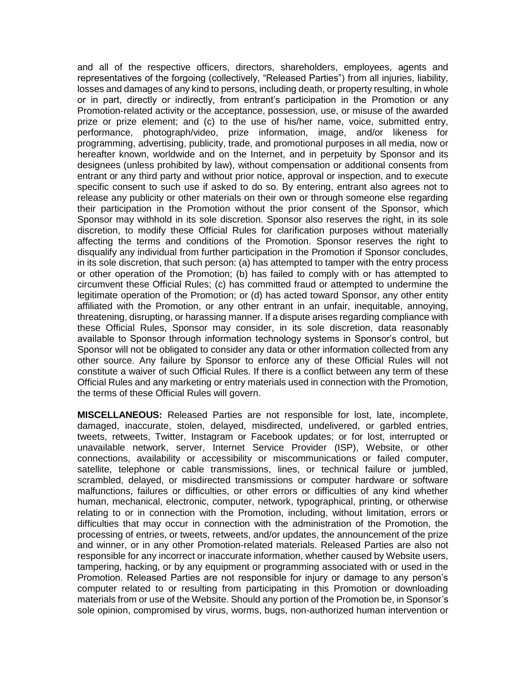and all of the respective officers, directors, shareholders, employees, agents and representatives of the forgoing (collectively, "Released Parties") from all injuries, liability, losses and damages of any kind to persons, including death, or property resulting, in whole or in part, directly or indirectly, from entrant's participation in the Promotion or any Promotion-related activity or the acceptance, possession, use, or misuse of the awarded prize or prize element; and (c) to the use of his/her name, voice, submitted entry, performance, photograph/video, prize information, image, and/or likeness for programming, advertising, publicity, trade, and promotional purposes in all media, now or hereafter known, worldwide and on the Internet, and in perpetuity by Sponsor and its designees (unless prohibited by law), without compensation or additional consents from entrant or any third party and without prior notice, approval or inspection, and to execute specific consent to such use if asked to do so. By entering, entrant also agrees not to release any publicity or other materials on their own or through someone else regarding their participation in the Promotion without the prior consent of the Sponsor, which Sponsor may withhold in its sole discretion. Sponsor also reserves the right, in its sole discretion, to modify these Official Rules for clarification purposes without materially affecting the terms and conditions of the Promotion. Sponsor reserves the right to disqualify any individual from further participation in the Promotion if Sponsor concludes, in its sole discretion, that such person: (a) has attempted to tamper with the entry process or other operation of the Promotion; (b) has failed to comply with or has attempted to circumvent these Official Rules; (c) has committed fraud or attempted to undermine the legitimate operation of the Promotion; or (d) has acted toward Sponsor, any other entity affiliated with the Promotion, or any other entrant in an unfair, inequitable, annoying, threatening, disrupting, or harassing manner. If a dispute arises regarding compliance with these Official Rules, Sponsor may consider, in its sole discretion, data reasonably available to Sponsor through information technology systems in Sponsor's control, but Sponsor will not be obligated to consider any data or other information collected from any other source. Any failure by Sponsor to enforce any of these Official Rules will not constitute a waiver of such Official Rules. If there is a conflict between any term of these Official Rules and any marketing or entry materials used in connection with the Promotion, the terms of these Official Rules will govern.

**MISCELLANEOUS:** Released Parties are not responsible for lost, late, incomplete, damaged, inaccurate, stolen, delayed, misdirected, undelivered, or garbled entries, tweets, retweets, Twitter, Instagram or Facebook updates; or for lost, interrupted or unavailable network, server, Internet Service Provider (ISP), Website, or other connections, availability or accessibility or miscommunications or failed computer, satellite, telephone or cable transmissions, lines, or technical failure or jumbled, scrambled, delayed, or misdirected transmissions or computer hardware or software malfunctions, failures or difficulties, or other errors or difficulties of any kind whether human, mechanical, electronic, computer, network, typographical, printing, or otherwise relating to or in connection with the Promotion, including, without limitation, errors or difficulties that may occur in connection with the administration of the Promotion, the processing of entries, or tweets, retweets, and/or updates, the announcement of the prize and winner, or in any other Promotion-related materials. Released Parties are also not responsible for any incorrect or inaccurate information, whether caused by Website users, tampering, hacking, or by any equipment or programming associated with or used in the Promotion. Released Parties are not responsible for injury or damage to any person's computer related to or resulting from participating in this Promotion or downloading materials from or use of the Website. Should any portion of the Promotion be, in Sponsor's sole opinion, compromised by virus, worms, bugs, non-authorized human intervention or